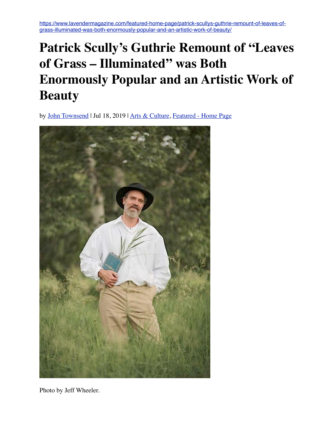[https://www.lavendermagazine.com/featured-home-page/patrick-scullys-guthrie-remount-of-leaves-of](https://www.lavendermagazine.com/featured-home-page/patrick-scullys-guthrie-remount-of-leaves-of-grass-illuminated-was-both-enormously-popular-and-an-artistic-work-of-beauty/)[grass-illuminated-was-both-enormously-popular-and-an-artistic-work-of-beauty/](https://www.lavendermagazine.com/featured-home-page/patrick-scullys-guthrie-remount-of-leaves-of-grass-illuminated-was-both-enormously-popular-and-an-artistic-work-of-beauty/)

## **Patrick Scully's Guthrie Remount of "Leaves of Grass – Illuminated" was Both Enormously Popular and an Artistic Work of Beauty**

by [John Townsend](https://www.lavendermagazine.com/author/john-townsend/) | Jul 18, 2019 | [Arts & Culture,](https://www.lavendermagazine.com/category/our-scene/arts-culture/) [Featured - Home Page](https://www.lavendermagazine.com/category/featured-home-page/)



Photo by Jeff Wheeler.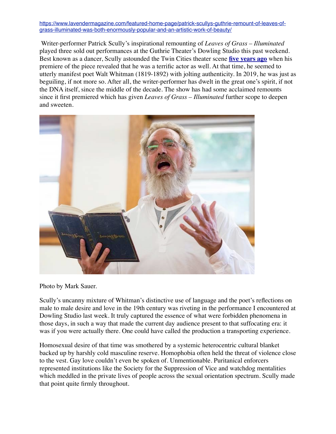## [https://www.lavendermagazine.com/featured-home-page/patrick-scullys-guthrie-remount-of-leaves-of](https://www.lavendermagazine.com/featured-home-page/patrick-scullys-guthrie-remount-of-leaves-of-grass-illuminated-was-both-enormously-popular-and-an-artistic-work-of-beauty/)[grass-illuminated-was-both-enormously-popular-and-an-artistic-work-of-beauty/](https://www.lavendermagazine.com/featured-home-page/patrick-scullys-guthrie-remount-of-leaves-of-grass-illuminated-was-both-enormously-popular-and-an-artistic-work-of-beauty/)

Writer-performer Patrick Scully's inspirational remounting of *Leaves of Grass – Illuminated*  played three sold out performances at the Guthrie Theater's Dowling Studio this past weekend. Best known as a dancer, Scully astounded the Twin Cities theater scene **[five years ago](https://lavendermagazine.com/our-scene/review-leaves-of-grass-uncut-scully-creates-a-luminous-signature-piece-that-embodies-the-homoromantic-spirit-of-19th-century-america/)** when his premiere of the piece revealed that he was a terrific actor as well. At that time, he seemed to utterly manifest poet Walt Whitman (1819-1892) with jolting authenticity. In 2019, he was just as beguiling, if not more so. After all, the writer-performer has dwelt in the great one's spirit, if not the DNA itself, since the middle of the decade. The show has had some acclaimed remounts since it first premiered which has given *Leaves of Grass – Illuminated* further scope to deepen and sweeten.



Photo by Mark Sauer.

Scully's uncanny mixture of Whitman's distinctive use of language and the poet's reflections on male to male desire and love in the 19th century was riveting in the performance I encountered at Dowling Studio last week. It truly captured the essence of what were forbidden phenomena in those days, in such a way that made the current day audience present to that suffocating era: it was if you were actually there. One could have called the production a transporting experience.

Homosexual desire of that time was smothered by a systemic heterocentric cultural blanket backed up by harshly cold masculine reserve. Homophobia often held the threat of violence close to the vest. Gay love couldn't even be spoken of. Unmentionable. Puritanical enforcers represented institutions like the Society for the Suppression of Vice and watchdog mentalities which meddled in the private lives of people across the sexual orientation spectrum. Scully made that point quite firmly throughout.